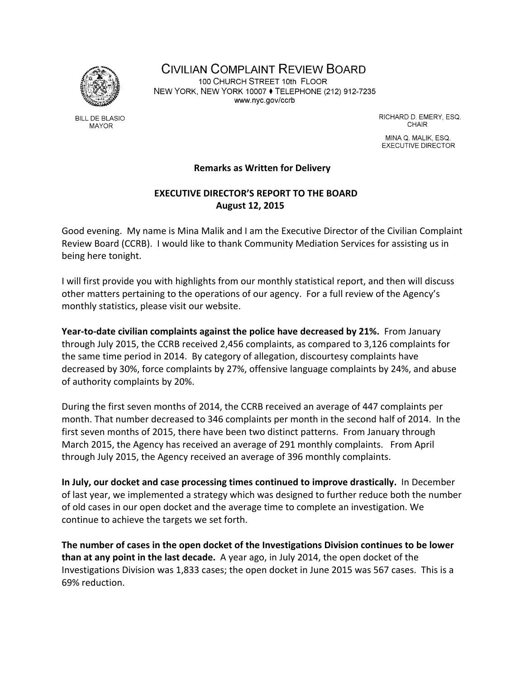

MAYOR

**BILL DE BLASIO** 

**CIVILIAN COMPLAINT REVIEW BOARD** 100 CHURCH STREET 10th FLOOR NEW YORK, NEW YORK 10007 ♦ TELEPHONE (212) 912-7235 www.nyc.gov/ccrb

> RICHARD D. EMERY, ESQ. **CHAIR**

MINA Q. MALIK, ESQ. **EXECUTIVE DIRECTOR** 

## **Remarks as Written for Delivery**

## **EXECUTIVE DIRECTOR'S REPORT TO THE BOARD August 12, 2015**

Good evening. My name is Mina Malik and I am the Executive Director of the Civilian Complaint Review Board (CCRB). I would like to thank Community Mediation Services for assisting us in being here tonight.

I will first provide you with highlights from our monthly statistical report, and then will discuss other matters pertaining to the operations of our agency. For a full review of the Agency's monthly statistics, please visit our website.

**Year‐to‐date civilian complaints against the police have decreased by 21%.** From January through July 2015, the CCRB received 2,456 complaints, as compared to 3,126 complaints for the same time period in 2014. By category of allegation, discourtesy complaints have decreased by 30%, force complaints by 27%, offensive language complaints by 24%, and abuse of authority complaints by 20%.

During the first seven months of 2014, the CCRB received an average of 447 complaints per month. That number decreased to 346 complaints per month in the second half of 2014. In the first seven months of 2015, there have been two distinct patterns. From January through March 2015, the Agency has received an average of 291 monthly complaints. From April through July 2015, the Agency received an average of 396 monthly complaints.

**In July, our docket and case processing times continued to improve drastically.** In December of last year, we implemented a strategy which was designed to further reduce both the number of old cases in our open docket and the average time to complete an investigation. We continue to achieve the targets we set forth.

**The number of cases in the open docket of the Investigations Division continues to be lower than at any point in the last decade.** A year ago, in July 2014, the open docket of the Investigations Division was 1,833 cases; the open docket in June 2015 was 567 cases. This is a 69% reduction.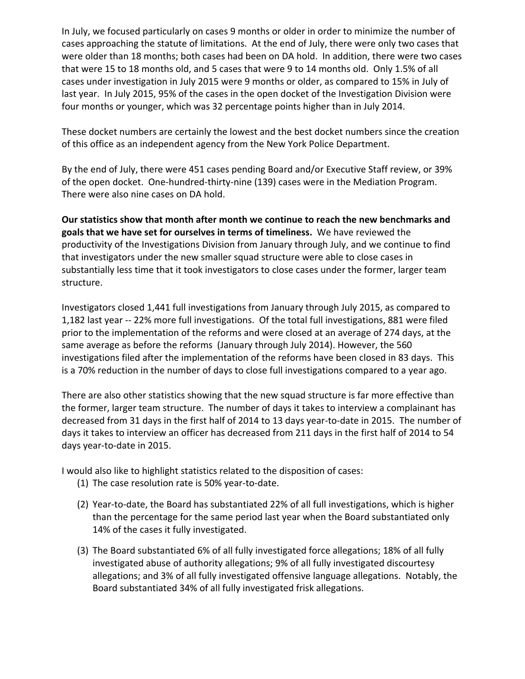In July, we focused particularly on cases 9 months or older in order to minimize the number of cases approaching the statute of limitations. At the end of July, there were only two cases that were older than 18 months; both cases had been on DA hold. In addition, there were two cases that were 15 to 18 months old, and 5 cases that were 9 to 14 months old. Only 1.5% of all cases under investigation in July 2015 were 9 months or older, as compared to 15% in July of last year. In July 2015, 95% of the cases in the open docket of the Investigation Division were four months or younger, which was 32 percentage points higher than in July 2014.

These docket numbers are certainly the lowest and the best docket numbers since the creation of this office as an independent agency from the New York Police Department.

By the end of July, there were 451 cases pending Board and/or Executive Staff review, or 39% of the open docket. One‐hundred‐thirty‐nine (139) cases were in the Mediation Program. There were also nine cases on DA hold.

**Our statistics show that month after month we continue to reach the new benchmarks and goals that we have set for ourselves in terms of timeliness.** We have reviewed the productivity of the Investigations Division from January through July, and we continue to find that investigators under the new smaller squad structure were able to close cases in substantially less time that it took investigators to close cases under the former, larger team structure.

Investigators closed 1,441 full investigations from January through July 2015, as compared to 1,182 last year -- 22% more full investigations. Of the total full investigations, 881 were filed prior to the implementation of the reforms and were closed at an average of 274 days, at the same average as before the reforms (January through July 2014). However, the 560 investigations filed after the implementation of the reforms have been closed in 83 days. This is a 70% reduction in the number of days to close full investigations compared to a year ago.

There are also other statistics showing that the new squad structure is far more effective than the former, larger team structure. The number of days it takes to interview a complainant has decreased from 31 days in the first half of 2014 to 13 days year-to-date in 2015. The number of days it takes to interview an officer has decreased from 211 days in the first half of 2014 to 54 days year‐to‐date in 2015.

I would also like to highlight statistics related to the disposition of cases:

- (1) The case resolution rate is 50% year‐to‐date.
- (2) Year‐to‐date, the Board has substantiated 22% of all full investigations, which is higher than the percentage for the same period last year when the Board substantiated only 14% of the cases it fully investigated.
- (3) The Board substantiated 6% of all fully investigated force allegations; 18% of all fully investigated abuse of authority allegations; 9% of all fully investigated discourtesy allegations; and 3% of all fully investigated offensive language allegations. Notably, the Board substantiated 34% of all fully investigated frisk allegations.